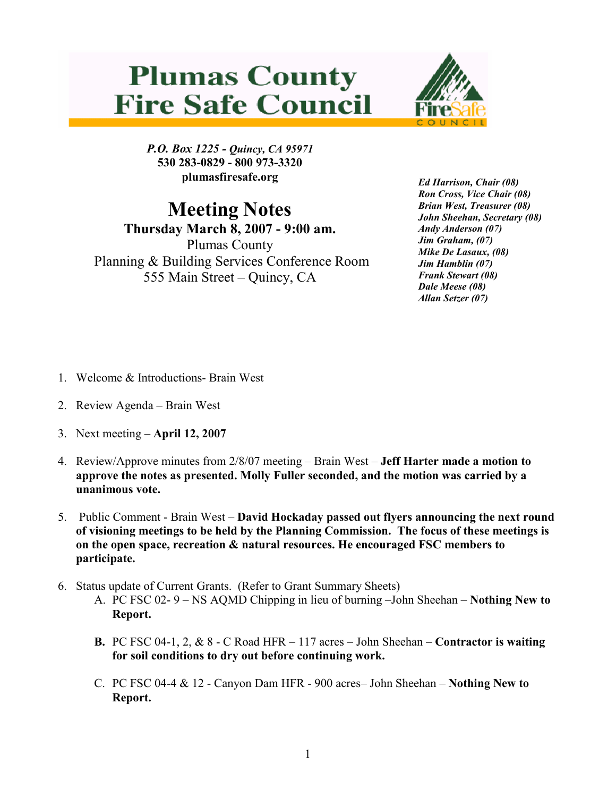## **Plumas County Fire Safe Council**



P.O. Box 1225 - Quincy, CA 95971 530 283-0829 - 800 973-3320 plumasfiresafe.org

Meeting Notes

Thursday March 8, 2007 - 9:00 am. Plumas County Planning & Building Services Conference Room 555 Main Street – Quincy, CA

Ed Harrison, Chair (08) Ron Cross, Vice Chair (08) Brian West, Treasurer (08) John Sheehan, Secretary (08) Andy Anderson (07) Jim Graham, (07) Mike De Lasaux, (08) Jim Hamblin (07) Frank Stewart (08) Dale Meese (08) Allan Setzer (07)

- 1. Welcome & Introductions- Brain West
- 2. Review Agenda Brain West
- 3. Next meeting April 12, 2007
- 4. Review/Approve minutes from 2/8/07 meeting Brain West Jeff Harter made a motion to approve the notes as presented. Molly Fuller seconded, and the motion was carried by a unanimous vote.
- 5. Public Comment Brain West David Hockaday passed out flyers announcing the next round of visioning meetings to be held by the Planning Commission. The focus of these meetings is on the open space, recreation & natural resources. He encouraged FSC members to participate.
- 6. Status update of Current Grants. (Refer to Grant Summary Sheets)
	- A. PC FSC 02- 9 NS AQMD Chipping in lieu of burning –John Sheehan Nothing New to Report.
	- **B.** PC FSC 04-1, 2,  $\&$  8 C Road HFR 117 acres John Sheehan Contractor is waiting for soil conditions to dry out before continuing work.
	- C. PC FSC 04-4 & 12 Canyon Dam HFR 900 acres– John Sheehan Nothing New to Report.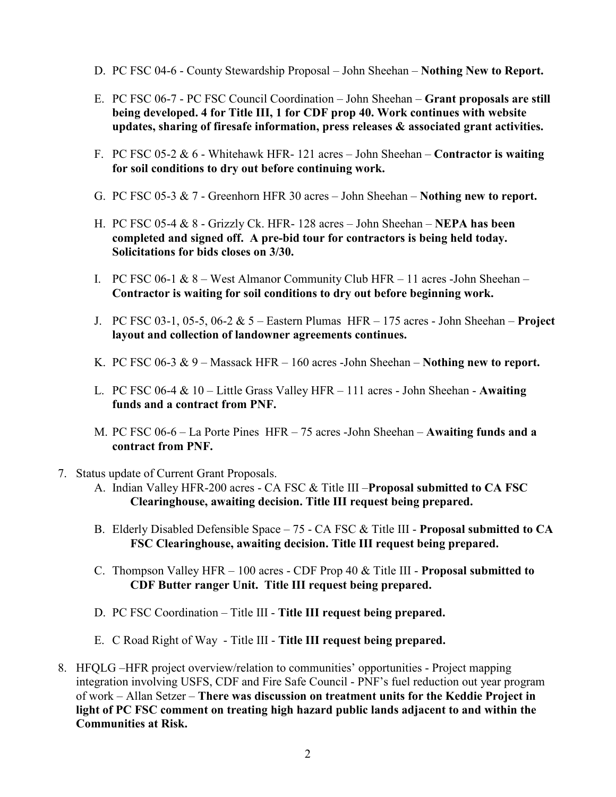- D. PC FSC 04-6 County Stewardship Proposal John Sheehan Nothing New to Report.
- E. PC FSC 06-7 PC FSC Council Coordination John Sheehan Grant proposals are still being developed. 4 for Title III, 1 for CDF prop 40. Work continues with website updates, sharing of firesafe information, press releases & associated grant activities.
- F. PC FSC 05-2  $& 6$  Whitehawk HFR- 121 acres John Sheehan Contractor is waiting for soil conditions to dry out before continuing work.
- G. PC FSC 05-3  $\& 7$  Greenhorn HFR 30 acres John Sheehan Nothing new to report.
- H. PC FSC 05-4  $\&$  8 Grizzly Ck. HFR- 128 acres John Sheehan **NEPA has been** completed and signed off. A pre-bid tour for contractors is being held today. Solicitations for bids closes on 3/30.
- I. PC FSC 06-1 & 8 West Almanor Community Club HFR 11 acres -John Sheehan Contractor is waiting for soil conditions to dry out before beginning work.
- J. PC FSC 03-1, 05-5, 06-2  $& 5$  Eastern Plumas HFR 175 acres John Sheehan Project layout and collection of landowner agreements continues.
- K. PC FSC 06-3  $\& 9$  Massack HFR 160 acres -John Sheehan Nothing new to report.
- L. PC FSC 06-4  $& 10 -$  Little Grass Valley HFR 111 acres John Sheehan Awaiting funds and a contract from PNF.
- M. PC FSC 06-6 La Porte Pines HFR 75 acres -John Sheehan Awaiting funds and a contract from PNF.
- 7. Status update of Current Grant Proposals.
	- A. Indian Valley HFR-200 acres CA FSC & Title III Proposal submitted to CA FSC Clearinghouse, awaiting decision. Title III request being prepared.
	- B. Elderly Disabled Defensible Space 75 CA FSC & Title III Proposal submitted to CA FSC Clearinghouse, awaiting decision. Title III request being prepared.
	- C. Thompson Valley HFR 100 acres CDF Prop 40 & Title III Proposal submitted to CDF Butter ranger Unit. Title III request being prepared.
	- D. PC FSC Coordination Title III Title III request being prepared.
	- E. C Road Right of Way Title III Title III request being prepared.
- 8. HFQLG –HFR project overview/relation to communities' opportunities Project mapping integration involving USFS, CDF and Fire Safe Council - PNF's fuel reduction out year program of work – Allan Setzer – There was discussion on treatment units for the Keddie Project in light of PC FSC comment on treating high hazard public lands adjacent to and within the Communities at Risk.